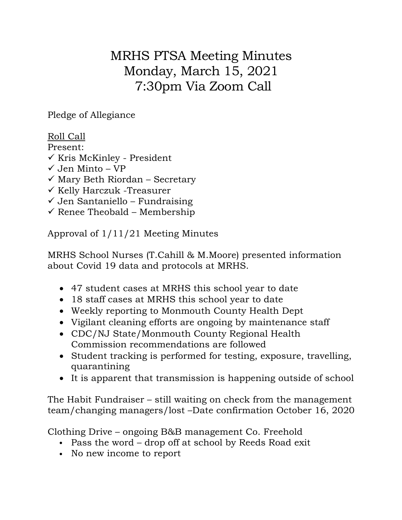## MRHS PTSA Meeting Minutes Monday, March 15, 2021 7:30pm Via Zoom Call

Pledge of Allegiance

## Roll Call

Present:

- $\checkmark$  Kris McKinley President
- $\checkmark$  Jen Minto VP
- $\checkmark$  Mary Beth Riordan Secretary
- $\checkmark$  Kelly Harczuk -Treasurer
- $\checkmark$  Jen Santaniello Fundraising
- $\checkmark$  Renee Theobald Membership

Approval of 1/11/21 Meeting Minutes

MRHS School Nurses (T.Cahill & M.Moore) presented information about Covid 19 data and protocols at MRHS.

- 47 student cases at MRHS this school year to date
- 18 staff cases at MRHS this school year to date
- Weekly reporting to Monmouth County Health Dept
- Vigilant cleaning efforts are ongoing by maintenance staff
- CDC/NJ State/Monmouth County Regional Health Commission recommendations are followed
- Student tracking is performed for testing, exposure, travelling, quarantining
- It is apparent that transmission is happening outside of school

The Habit Fundraiser – still waiting on check from the management team/changing managers/lost –Date confirmation October 16, 2020

Clothing Drive – ongoing B&B management Co. Freehold

- Pass the word drop off at school by Reeds Road exit
- No new income to report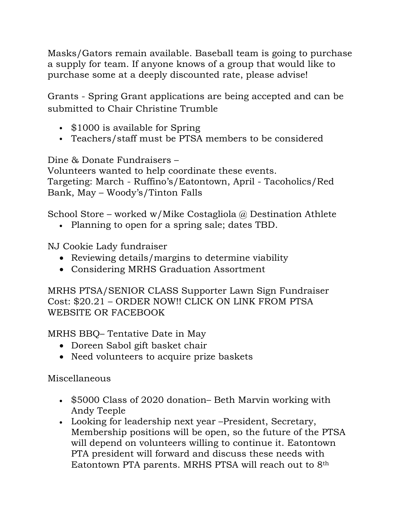Masks/Gators remain available. Baseball team is going to purchase a supply for team. If anyone knows of a group that would like to purchase some at a deeply discounted rate, please advise!

Grants - Spring Grant applications are being accepted and can be submitted to Chair Christine Trumble

- \$1000 is available for Spring
- Teachers/staff must be PTSA members to be considered

Dine & Donate Fundraisers –

Volunteers wanted to help coordinate these events. Targeting: March - Ruffino's/Eatontown, April - Tacoholics/Red Bank, May – Woody's/Tinton Falls

School Store – worked w/Mike Costagliola @ Destination Athlete

• Planning to open for a spring sale; dates TBD.

NJ Cookie Lady fundraiser

- Reviewing details/margins to determine viability
- Considering MRHS Graduation Assortment

MRHS PTSA/SENIOR CLASS Supporter Lawn Sign Fundraiser Cost: \$20.21 – ORDER NOW!! CLICK ON LINK FROM PTSA WEBSITE OR FACEBOOK

MRHS BBQ– Tentative Date in May

- Doreen Sabol gift basket chair
- Need volunteers to acquire prize baskets

Miscellaneous

- \$5000 Class of 2020 donation– Beth Marvin working with Andy Teeple
- Looking for leadership next year –President, Secretary, Membership positions will be open, so the future of the PTSA will depend on volunteers willing to continue it. Eatontown PTA president will forward and discuss these needs with Eatontown PTA parents. MRHS PTSA will reach out to 8th